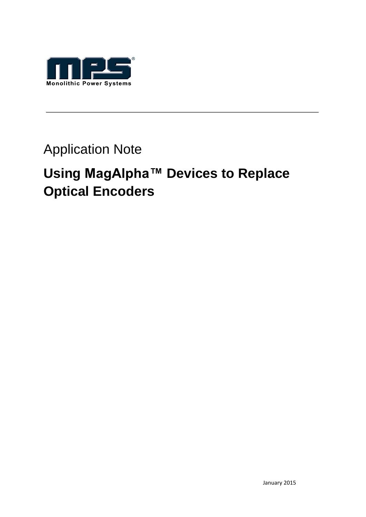

## Application Note

# **Using MagAlpha™ Devices to Replace Optical Encoders**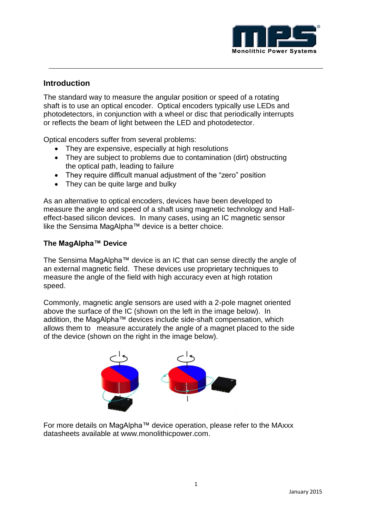

### **Introduction**

The standard way to measure the angular position or speed of a rotating shaft is to use an optical encoder. Optical encoders typically use LEDs and photodetectors, in conjunction with a wheel or disc that periodically interrupts or reflects the beam of light between the LED and photodetector.

Optical encoders suffer from several problems:

- They are expensive, especially at high resolutions
- They are subject to problems due to contamination (dirt) obstructing the optical path, leading to failure
- They require difficult manual adjustment of the "zero" position
- They can be quite large and bulky

As an alternative to optical encoders, devices have been developed to measure the angle and speed of a shaft using magnetic technology and Halleffect-based silicon devices. In many cases, using an IC magnetic sensor like the Sensima MagAlpha™ device is a better choice.

#### **The MagAlpha™ Device**

The Sensima MagAlpha™ device is an IC that can sense directly the angle of an external magnetic field. These devices use proprietary techniques to measure the angle of the field with high accuracy even at high rotation speed.

Commonly, magnetic angle sensors are used with a 2-pole magnet oriented above the surface of the IC (shown on the left in the image below). In addition, the MagAlpha™ devices include side-shaft compensation, which allows them to measure accurately the angle of a magnet placed to the side of the device (shown on the right in the image below).



For more details on MagAlpha™ device operation, please refer to the MAxxx datasheets available at www.monolithicpower.com.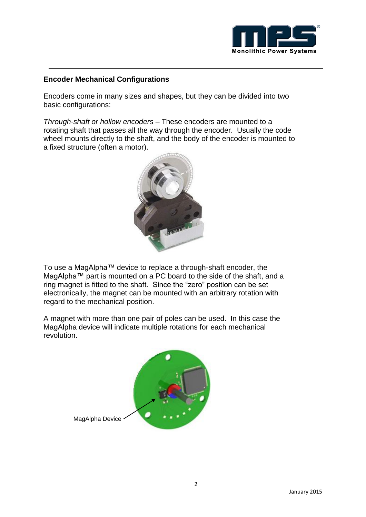

#### **Encoder Mechanical Configurations**

Encoders come in many sizes and shapes, but they can be divided into two basic configurations:

*Through-shaft or hollow encoders* – These encoders are mounted to a rotating shaft that passes all the way through the encoder. Usually the code wheel mounts directly to the shaft, and the body of the encoder is mounted to a fixed structure (often a motor).



To use a MagAlpha™ device to replace a through-shaft encoder, the MagAlpha™ part is mounted on a PC board to the side of the shaft, and a ring magnet is fitted to the shaft. Since the "zero" position can be set electronically, the magnet can be mounted with an arbitrary rotation with regard to the mechanical position.

A magnet with more than one pair of poles can be used. In this case the MagAlpha device will indicate multiple rotations for each mechanical revolution.



MagAlpha Device .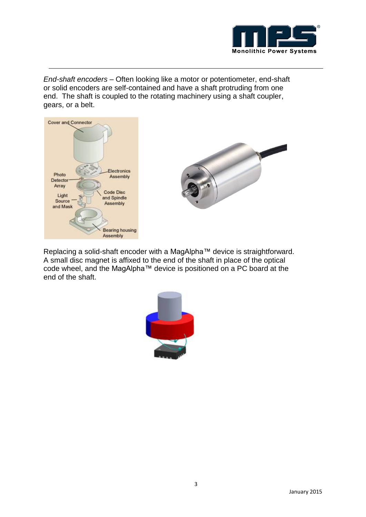

*End-shaft encoders* – Often looking like a motor or potentiometer, end-shaft or solid encoders are self-contained and have a shaft protruding from one end. The shaft is coupled to the rotating machinery using a shaft coupler, gears, or a belt.





Replacing a solid-shaft encoder with a MagAlpha™ device is straightforward. A small disc magnet is affixed to the end of the shaft in place of the optical code wheel, and the MagAlpha™ device is positioned on a PC board at the end of the shaft.

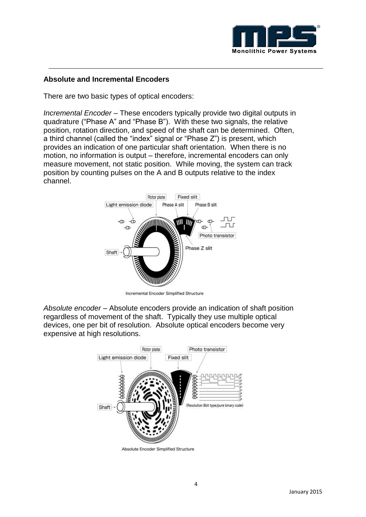

#### **Absolute and Incremental Encoders**

There are two basic types of optical encoders:

*Incremental Encoder* – These encoders typically provide two digital outputs in quadrature ("Phase A" and "Phase B"). With these two signals, the relative position, rotation direction, and speed of the shaft can be determined. Often, a third channel (called the "index" signal or "Phase Z") is present, which provides an indication of one particular shaft orientation. When there is no motion, no information is output – therefore, incremental encoders can only measure movement, not static position. While moving, the system can track position by counting pulses on the A and B outputs relative to the index channel.



Incremental Encoder Simplified Structure

*Absolute encoder* – Absolute encoders provide an indication of shaft position regardless of movement of the shaft. Typically they use multiple optical devices, one per bit of resolution. Absolute optical encoders become very expensive at high resolutions.



Absolute Encoder Simplified Structure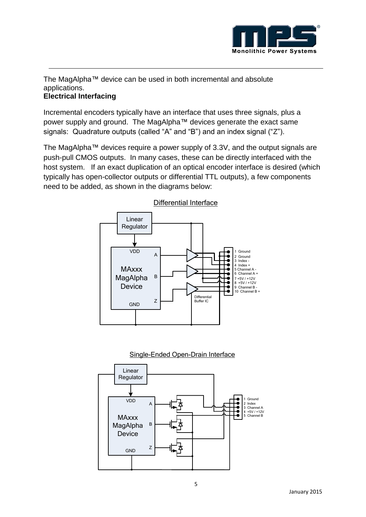

The MagAlpha™ device can be used in both incremental and absolute applications.

#### **Electrical Interfacing**

Incremental encoders typically have an interface that uses three signals, plus a power supply and ground. The MagAlpha™ devices generate the exact same signals: Quadrature outputs (called "A" and "B") and an index signal ("Z").

The MagAlpha™ devices require a power supply of 3.3V, and the output signals are push-pull CMOS outputs. In many cases, these can be directly interfaced with the host system. If an exact duplication of an optical encoder interface is desired (which typically has open-collector outputs or differential TTL outputs), a few components need to be added, as shown in the diagrams below:





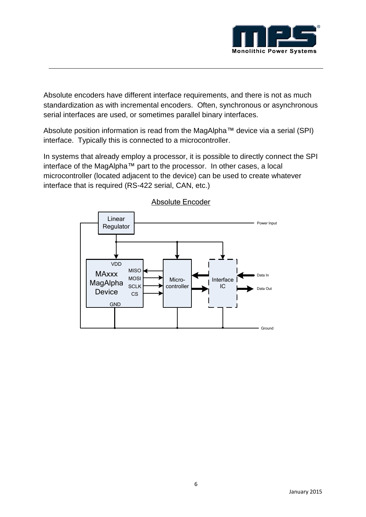

Absolute encoders have different interface requirements, and there is not as much standardization as with incremental encoders. Often, synchronous or asynchronous serial interfaces are used, or sometimes parallel binary interfaces.

Absolute position information is read from the MagAlpha™ device via a serial (SPI) interface. Typically this is connected to a microcontroller.

In systems that already employ a processor, it is possible to directly connect the SPI interface of the MagAlpha™ part to the processor. In other cases, a local microcontroller (located adjacent to the device) can be used to create whatever interface that is required (RS-422 serial, CAN, etc.)